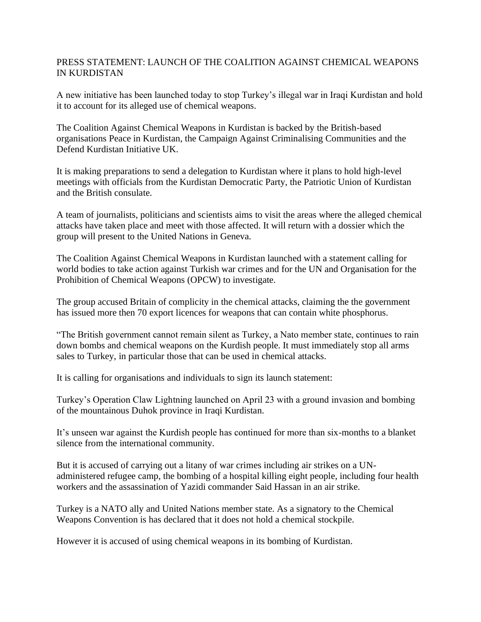## PRESS STATEMENT: LAUNCH OF THE COALITION AGAINST CHEMICAL WEAPONS IN KURDISTAN

A new initiative has been launched today to stop Turkey's illegal war in Iraqi Kurdistan and hold it to account for its alleged use of chemical weapons.

The Coalition Against Chemical Weapons in Kurdistan is backed by the British-based organisations Peace in Kurdistan, the Campaign Against Criminalising Communities and the Defend Kurdistan Initiative UK.

It is making preparations to send a delegation to Kurdistan where it plans to hold high-level meetings with officials from the Kurdistan Democratic Party, the Patriotic Union of Kurdistan and the British consulate.

A team of journalists, politicians and scientists aims to visit the areas where the alleged chemical attacks have taken place and meet with those affected. It will return with a dossier which the group will present to the United Nations in Geneva.

The Coalition Against Chemical Weapons in Kurdistan launched with a statement calling for world bodies to take action against Turkish war crimes and for the UN and Organisation for the Prohibition of Chemical Weapons (OPCW) to investigate.

The group accused Britain of complicity in the chemical attacks, claiming the the government has issued more then 70 export licences for weapons that can contain white phosphorus.

"The British government cannot remain silent as Turkey, a Nato member state, continues to rain down bombs and chemical weapons on the Kurdish people. It must immediately stop all arms sales to Turkey, in particular those that can be used in chemical attacks.

It is calling for organisations and individuals to sign its launch statement:

Turkey's Operation Claw Lightning launched on April 23 with a ground invasion and bombing of the mountainous Duhok province in Iraqi Kurdistan.

It's unseen war against the Kurdish people has continued for more than six-months to a blanket silence from the international community.

But it is accused of carrying out a litany of war crimes including air strikes on a UNadministered refugee camp, the bombing of a hospital killing eight people, including four health workers and the assassination of Yazidi commander Said Hassan in an air strike.

Turkey is a NATO ally and United Nations member state. As a signatory to the Chemical Weapons Convention is has declared that it does not hold a chemical stockpile.

However it is accused of using chemical weapons in its bombing of Kurdistan.